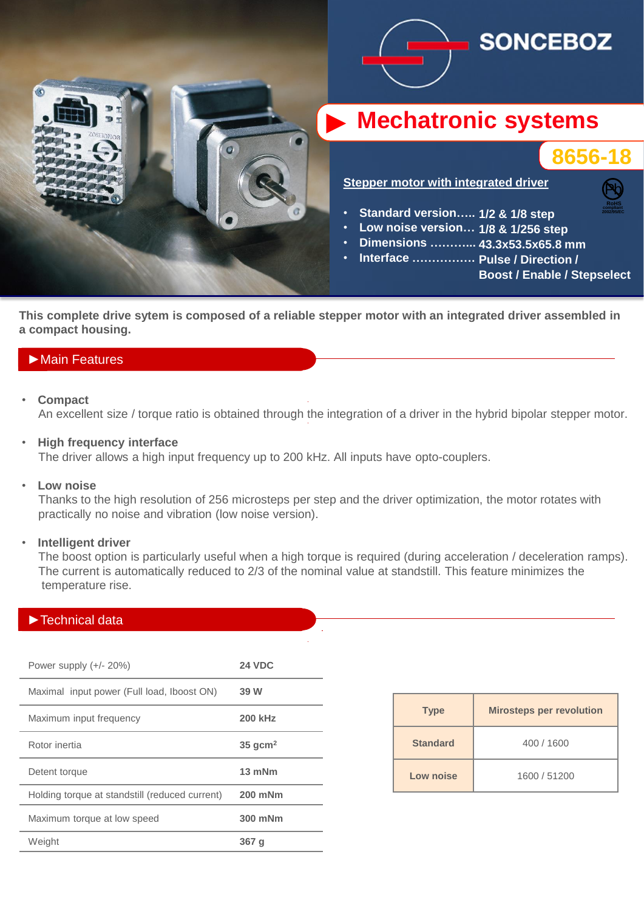





Pb **RoHS compliant 2002/95/EC**

**Stepper motor with integrated driver**

- **Standard version….. 1/2 & 1/8 step**
- **Low noise version… 1/8 & 1/256 step**
- **Dimensions ………... 43.3x53.5x65.8 mm**
- **Interface ……………. Pulse / Direction /**

**Boost / Enable / Stepselect**

**This complete drive sytem is composed of a reliable stepper motor with an integrated driver assembled in a compact housing.**

## ►Main Features

• **Compact**

An excellent size / torque ratio is obtained through the integration of a driver in the hybrid bipolar stepper motor.

• **High frequency interface**

The driver allows a high input frequency up to 200 kHz. All inputs have opto-couplers.

• **Low noise**

 Thanks to the high resolution of 256 microsteps per step and the driver optimization, the motor rotates with practically no noise and vibration (low noise version).

#### • **Intelligent driver**

 The boost option is particularly useful when a high torque is required (during acceleration / deceleration ramps). The current is automatically reduced to 2/3 of the nominal value at standstill. This feature minimizes the temperature rise.

## ►Technical data

| Power supply $(+/- 20%)$                       | <b>24 VDC</b>         |
|------------------------------------------------|-----------------------|
| Maximal input power (Full load, Iboost ON)     | 39 W                  |
| Maximum input frequency                        | <b>200 kHz</b>        |
| Rotor inertia                                  | $35$ gcm <sup>2</sup> |
| Detent torque                                  | 13 mNm                |
| Holding torque at standstill (reduced current) | 200 mNm               |
| Maximum torque at low speed                    | 300 mNm               |
| Weight                                         | 367 q                 |

| <b>Type</b>     | <b>Mirosteps per revolution</b> |
|-----------------|---------------------------------|
| <b>Standard</b> | 400 / 1600                      |
| Low noise       | 1600 / 51200                    |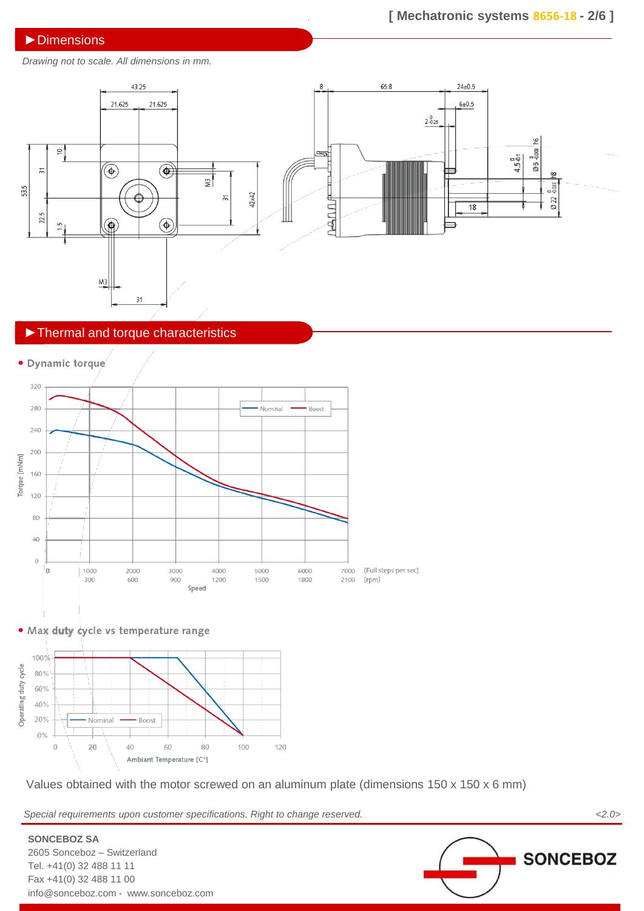### ►Dimensions

## **[ Mechatronic systems 8656-18 - 2/6 ]**

*Drawing not to scale. All dimensions in mm.*



## ►Thermal and torque characteristics



. Max duty cycle vs temperature range



Values obtained with the motor screwed on an aluminum plate (dimensions 150 x 150 x 6 mm)

*Special requirements upon customer specifications. Right to change reserved. <2.0>*

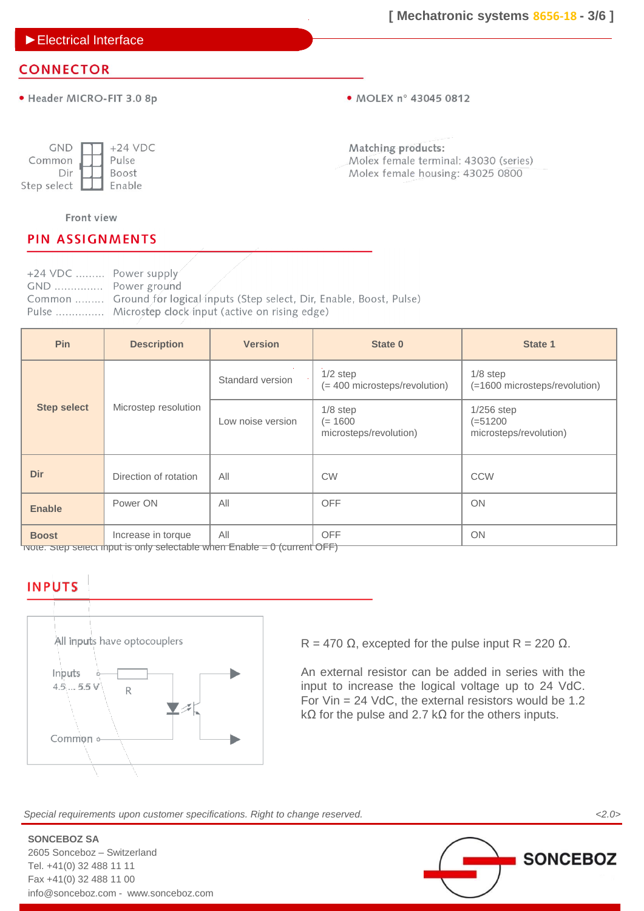►Electrical Interface

# **CONNECTOR**

· Header MICRO-FIT 3.0 8p

• MOLEX nº 43045 0812

| <b>GND</b>  | $+24$ VDC    |
|-------------|--------------|
| Common      | Pulse        |
| Dir         | <b>Boost</b> |
| Step select | Enable       |

Matching products: Molex female terminal: 43030 (series) Molex female housing: 43025 0800

### Front view

## **PIN ASSIGNMENTS**

+24 VDC ......... Power supply GND ............... Power ground Common ......... Ground for logical inputs (Step select, Dir, Enable, Boost, Pulse) Pulse ............... Microstep clock input (active on rising edge)

| Pin                | <b>Description</b>    | <b>Version</b>                              | State 0                                           | State 1                                               |
|--------------------|-----------------------|---------------------------------------------|---------------------------------------------------|-------------------------------------------------------|
|                    | Standard version      | $1/2$ step<br>(= 400 microsteps/revolution) | $1/8$ step<br>(=1600 microsteps/revolution)       |                                                       |
| <b>Step select</b> | Microstep resolution  | Low noise version                           | $1/8$ step<br>$(= 1600$<br>microsteps/revolution) | $1/256$ step<br>$( = 51200$<br>microsteps/revolution) |
| <b>Dir</b>         | Direction of rotation | All                                         | <b>CW</b>                                         | <b>CCW</b>                                            |
| <b>Enable</b>      | Power ON              | All                                         | <b>OFF</b>                                        | ON                                                    |
| <b>Boost</b>       | Increase in torque    | All<br>$\overline{\phantom{a}}$             | <b>OFF</b><br>$\sim$ $-$                          | <b>ON</b>                                             |

 $\overline{\phantom{a}}$  Note: Step select input is only selectable when Enable = 0 (current OFF)

# **INPUTS**



R = 470  $\Omega$ , excepted for the pulse input R = 220  $\Omega$ .

An external resistor can be added in series with the input to increase the logical voltage up to 24 VdC. For Vin = 24 VdC, the external resistors would be 1.2 k $\Omega$  for the pulse and 2.7 k $\Omega$  for the others inputs.

*Special requirements upon customer specifications. Right to change reserved. <2.0>*

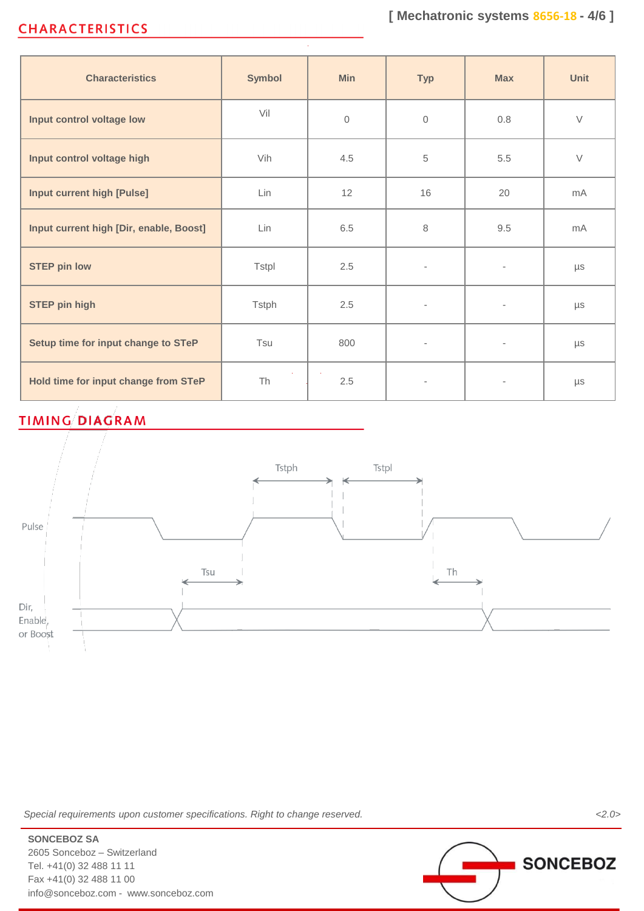# **CHARACTERISTICS**

| <b>Characteristics</b>                  | <b>Symbol</b> | <b>Min</b>   | <b>Typ</b>               | <b>Max</b>               | Unit           |
|-----------------------------------------|---------------|--------------|--------------------------|--------------------------|----------------|
| Input control voltage low               | Vil           | $\mathbf{0}$ | $\Omega$                 | 0.8                      | $\vee$         |
| Input control voltage high              | Vih           | 4.5          | 5                        | 5.5                      | $\vee$         |
| <b>Input current high [Pulse]</b>       | Lin           | 12           | 16                       | 20                       | m <sub>A</sub> |
| Input current high [Dir, enable, Boost] | Lin           | 6.5          | 8                        | 9.5                      | mA             |
| <b>STEP pin low</b>                     | <b>Tstpl</b>  | 2.5          | $\overline{\phantom{a}}$ | $\bar{ }$                | $\mu s$        |
| <b>STEP pin high</b>                    | <b>Tstph</b>  | 2.5          | $\bar{ }$                | $\overline{\phantom{a}}$ | $\mu s$        |
| Setup time for input change to STeP     | Tsu           | 800          | $\overline{\phantom{0}}$ | $\overline{\phantom{a}}$ | $\mu s$        |
| Hold time for input change from STeP    | Th            | 2.5          |                          |                          | $\mu s$        |

# **TIMING DIAGRAM**



*Special requirements upon customer specifications. Right to change reserved. <2.0>*

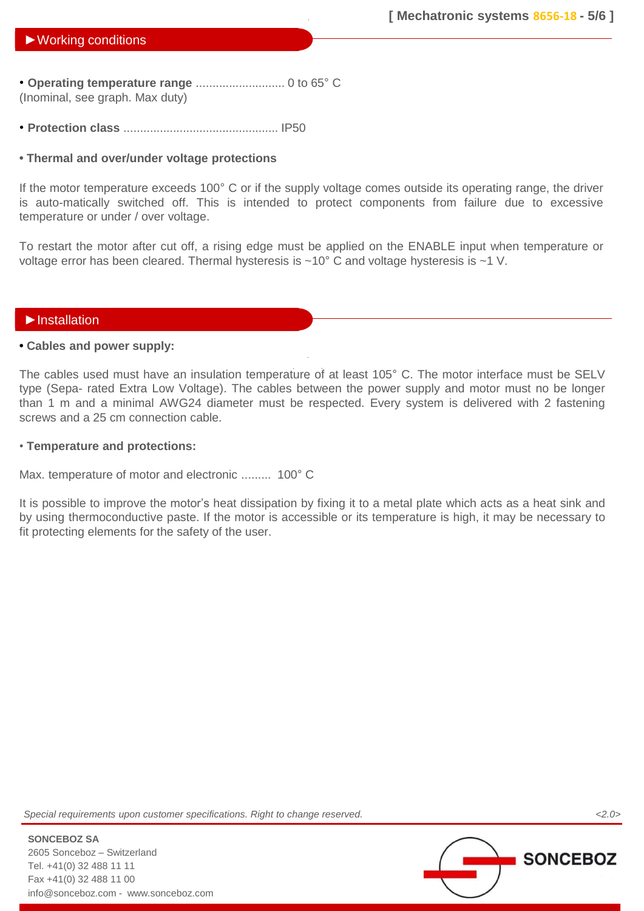• **Operating temperature range** ........................... 0 to 65° C (Inominal, see graph. Max duty)

• **Protection class** ............................................... IP50

### **• Thermal and over/under voltage protections**

If the motor temperature exceeds 100° C or if the supply voltage comes outside its operating range, the driver is auto-matically switched off. This is intended to protect components from failure due to excessive temperature or under / over voltage.

To restart the motor after cut off, a rising edge must be applied on the ENABLE input when temperature or voltage error has been cleared. Thermal hysteresis is ~10° C and voltage hysteresis is ~1 V.

### ►Installation

### **• Cables and power supply:**

The cables used must have an insulation temperature of at least 105° C. The motor interface must be SELV type (Sepa- rated Extra Low Voltage). The cables between the power supply and motor must no be longer than 1 m and a minimal AWG24 diameter must be respected. Every system is delivered with 2 fastening screws and a 25 cm connection cable.

### • **Temperature and protections:**

Max. temperature of motor and electronic ......... 100° C

It is possible to improve the motor's heat dissipation by fixing it to a metal plate which acts as a heat sink and by using thermoconductive paste. If the motor is accessible or its temperature is high, it may be necessary to fit protecting elements for the safety of the user.

*Special requirements upon customer specifications. Right to change reserved. <2.0>*